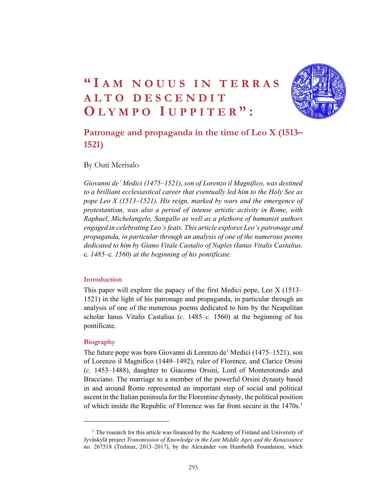# $\begin{array}{c} \text{``IAM NOUUS IN TERMS} \ \text{ALTO DESCENDIT} \ \text{OLYMPO IUPPITER''}: \ \end{array}$ <br>Patronage and propaganda in the time of Leo X (1513–  $\begin{array}{l} \textbf{``I AM NOUUS IN TERRAS}\ \textbf{ALTO DES CENDIT}\ \textbf{OLYMPO IUPPITER}\textbf{''}: \end{array}$ <br>Patronage and propaganda in the time of Leo X (1513–1521) WHEN NOUUS IN TERRAS<br>
ALTO DESCENDIT<br>
OLYMPO IUPPITER":<br>
Patronage and propaganda in the time of Leo X (1513–1521)



# Patronage and propaganda in the time of Leo X (1513– 1521)

By Outi Merisalo

Giovanni de' Medici (1475–1521), son of Lorenzo il Magnifico, was destined to a brilliant ecclesiastical career that eventually led him to the Holy See as pope Leo X (1513–1521). His reign, marked by wars and the emergence of protestantism, was also a period of intense artistic activity in Rome, with Raphael, Michelangelo, Sangallo as well as a plethora of humanist authors engaged in celebrating Leo's feats. This article explores Leo's patronage and propaganda, in particular through an analysis of one of the numerous poems dedicated to him by Giano Vitale Castalio of Naples (Ianus Vitalis Castalius, c. 1485–c. 1560) at the beginning of his pontificate.

#### Introduction

This paper will explore the papacy of the first Medici pope, Leo X (1513– 1521) in the light of his patronage and propaganda, in particular through an analysis of one of the numerous poems dedicated to him by the Neapolitan scholar Ianus Vitalis Castalius (c. 1485–c. 1560) at the beginning of his pontificate.

#### Biography

The future pope was born Giovanni di Lorenzo de' Medici (1475–1521), son of Lorenzo il Magnifico (1449–1492), ruler of Florence, and Clarice Orsini (c. 1453–1488), daughter to Giacomo Orsini, Lord of Monterotondo and Bracciano. The marriage to a member of the powerful Orsini dynasty based in and around Rome represented an important step of social and political ascent in the Italian peninsula for the Florentine dynasty, the political position of which inside the Republic of Florence was far from secure in the 1470s.<sup>1</sup>

<sup>&</sup>lt;sup>1</sup> The research for this article was financed by the Academy of Finland and University of Jyväskylä project Transmission of Knowledge in the Late Middle Ages and the Renaissance no. 267518 (Tralmar, 2013–2017), by the Alexander von Humboldt Foundation, which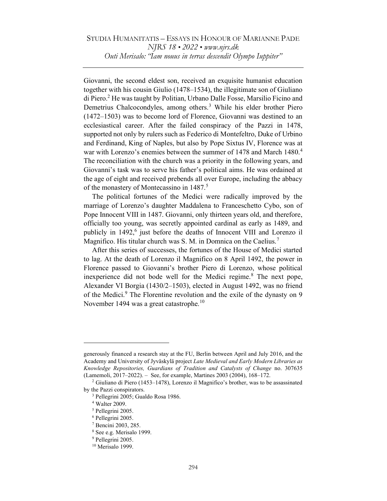Giovanni, the second eldest son, received an exquisite humanist education together with his cousin Giulio (1478–1534), the illegitimate son of Giuliano di Piero.<sup>2</sup> He was taught by Politian, Urbano Dalle Fosse, Marsilio Ficino and Demetrius Chalcocondyles, among others.<sup>3</sup> While his elder brother Piero (1472–1503) was to become lord of Florence, Giovanni was destined to an ecclesiastical career. After the failed conspiracy of the Pazzi in 1478, supported not only by rulers such as Federico di Montefeltro, Duke of Urbino and Ferdinand, King of Naples, but also by Pope Sixtus IV, Florence was at war with Lorenzo's enemies between the summer of  $1478$  and March  $1480<sup>4</sup>$ The reconciliation with the church was a priority in the following years, and Giovanni's task was to serve his father's political aims. He was ordained at the age of eight and received prebends all over Europe, including the abbacy of the monastery of Montecassino in 1487.<sup>5</sup>

The political fortunes of the Medici were radically improved by the marriage of Lorenzo's daughter Maddalena to Franceschetto Cybo, son of Pope Innocent VIII in 1487. Giovanni, only thirteen years old, and therefore, officially too young, was secretly appointed cardinal as early as 1489, and publicly in 1492,<sup>6</sup> just before the deaths of Innocent VIII and Lorenzo il Magnifico. His titular church was S. M. in Domnica on the Caelius.<sup>7</sup>

After this series of successes, the fortunes of the House of Medici started to lag. At the death of Lorenzo il Magnifico on 8 April 1492, the power in Florence passed to Giovanni's brother Piero di Lorenzo, whose political inexperience did not bode well for the Medici regime.<sup>8</sup> The next pope, Alexander VI Borgia (1430/2–1503), elected in August 1492, was no friend of the Medici.<sup>9</sup> The Florentine revolution and the exile of the dynasty on 9 November 1494 was a great catastrophe. $10$ 

generously financed a research stay at the FU, Berlin between April and July 2016, and the Academy and University of Jyväskylä project Late Medieval and Early Modern Libraries as Knowledge Repositories, Guardians of Tradition and Catalysts of Change no. 307635 (Lamemoli, 2017–2022). – See, for example, Martines 2003 (2004), 168–172.

<sup>2</sup> Giuliano di Piero (1453–1478), Lorenzo il Magnifico's brother, was to be assassinated by the Pazzi conspirators.

<sup>3</sup> Pellegrini 2005; Gualdo Rosa 1986.

<sup>4</sup> Walter 2009.

<sup>5</sup> Pellegrini 2005.

<sup>6</sup> Pellegrini 2005.

<sup>7</sup> Bencini 2003, 285.

<sup>8</sup> See e.g. Merisalo 1999.

<sup>9</sup> Pellegrini 2005.

<sup>&</sup>lt;sup>10</sup> Merisalo 1999.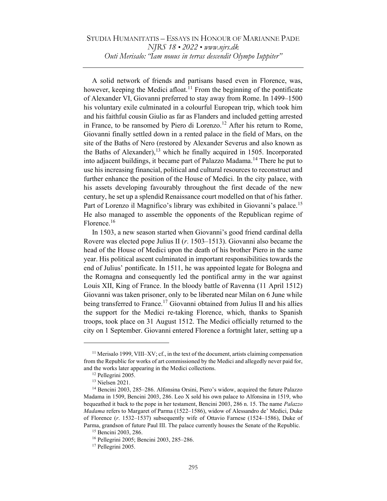# STUDIA HUMANITATIS – ESSAYS IN HONOUR OF MARIANNE PADE NJRS 18 • 2022 • www.njrs.dk Outi Merisalo: "Iam nouus in terras descendit Olympo Iuppiter"

A solid network of friends and partisans based even in Florence, was, however, keeping the Medici afloat.<sup>11</sup> From the beginning of the pontificate of Alexander VI, Giovanni preferred to stay away from Rome. In 1499–1500 his voluntary exile culminated in a colourful European trip, which took him and his faithful cousin Giulio as far as Flanders and included getting arrested in France, to be ransomed by Piero di Lorenzo.<sup>12</sup> After his return to Rome, Giovanni finally settled down in a rented palace in the field of Mars, on the site of the Baths of Nero (restored by Alexander Severus and also known as the Baths of Alexander),  $13$  which he finally acquired in 1505. Incorporated into adjacent buildings, it became part of Palazzo Madama.<sup>14</sup> There he put to use his increasing financial, political and cultural resources to reconstruct and further enhance the position of the House of Medici. In the city palace, with his assets developing favourably throughout the first decade of the new century, he set up a splendid Renaissance court modelled on that of his father. Part of Lorenzo il Magnifico's library was exhibited in Giovanni's palace.<sup>15</sup> He also managed to assemble the opponents of the Republican regime of Florence.<sup>16</sup>

In 1503, a new season started when Giovanni's good friend cardinal della Rovere was elected pope Julius II (r. 1503–1513). Giovanni also became the head of the House of Medici upon the death of his brother Piero in the same year. His political ascent culminated in important responsibilities towards the end of Julius' pontificate. In 1511, he was appointed legate for Bologna and the Romagna and consequently led the pontifical army in the war against Louis XII, King of France. In the bloody battle of Ravenna (11 April 1512) Giovanni was taken prisoner, only to be liberated near Milan on 6 June while being transferred to France.<sup>17</sup> Giovanni obtained from Julius II and his allies the support for the Medici re-taking Florence, which, thanks to Spanish troops, took place on 31 August 1512. The Medici officially returned to the city on 1 September. Giovanni entered Florence a fortnight later, setting up a

<sup>11</sup> Merisalo 1999, VIII–XV; cf., in the text of the document, artists claiming compensation from the Republic for works of art commissioned by the Medici and allegedly never paid for, and the works later appearing in the Medici collections.

<sup>12</sup> Pellegrini 2005.

<sup>13</sup> Nielsen 2021.

<sup>&</sup>lt;sup>14</sup> Bencini 2003, 285–286. Alfonsina Orsini, Piero's widow, acquired the future Palazzo Madama in 1509, Bencini 2003, 286. Leo X sold his own palace to Alfonsina in 1519, who bequeathed it back to the pope in her testament, Bencini 2003, 286 n. 15. The name *Palazzo* Madama refers to Margaret of Parma (1522–1586), widow of Alessandro de' Medici, Duke of Florence (r. 1532–1537) subsequently wife of Ottavio Farnese (1524–1586), Duke of Parma, grandson of future Paul III. The palace currently houses the Senate of the Republic.

<sup>15</sup> Bencini 2003, 286.

<sup>16</sup> Pellegrini 2005; Bencini 2003, 285–286.

<sup>17</sup> Pellegrini 2005.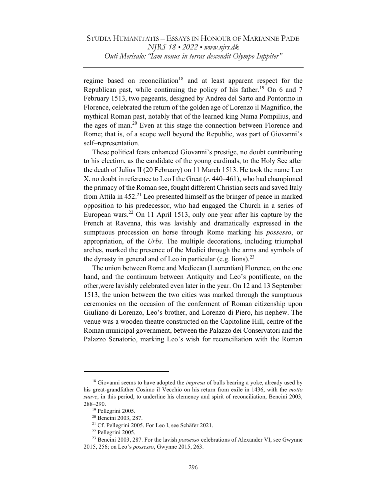regime based on reconciliation<sup>18</sup> and at least apparent respect for the Republican past, while continuing the policy of his father.<sup>19</sup> On 6 and 7 February 1513, two pageants, designed by Andrea del Sarto and Pontormo in Florence, celebrated the return of the golden age of Lorenzo il Magnifico, the mythical Roman past, notably that of the learned king Numa Pompilius, and the ages of man.<sup>20</sup> Even at this stage the connection between Florence and Rome; that is, of a scope well beyond the Republic, was part of Giovanni's self–representation.

These political feats enhanced Giovanni's prestige, no doubt contributing to his election, as the candidate of the young cardinals, to the Holy See after the death of Julius II (20 February) on 11 March 1513. He took the name Leo X, no doubt in reference to Leo I the Great  $(r. 440-461)$ , who had championed the primacy of the Roman see, fought different Christian sects and saved Italy from Attila in  $452<sup>21</sup>$  Leo presented himself as the bringer of peace in marked opposition to his predecessor, who had engaged the Church in a series of European wars.<sup>22</sup> On 11 April 1513, only one year after his capture by the French at Ravenna, this was lavishly and dramatically expressed in the sumptuous procession on horse through Rome marking his possesso, or appropriation, of the Urbs. The multiple decorations, including triumphal arches, marked the presence of the Medici through the arms and symbols of the dynasty in general and of Leo in particular (e.g. lions).<sup>23</sup>

The union between Rome and Medicean (Laurentian) Florence, on the one hand, and the continuum between Antiquity and Leo's pontificate, on the other,were lavishly celebrated even later in the year. On 12 and 13 September 1513, the union between the two cities was marked through the sumptuous ceremonies on the occasion of the conferment of Roman citizenship upon Giuliano di Lorenzo, Leo's brother, and Lorenzo di Piero, his nephew. The venue was a wooden theatre constructed on the Capitoline Hill, centre of the Roman municipal government, between the Palazzo dei Conservatori and the Palazzo Senatorio, marking Leo's wish for reconciliation with the Roman

 $18$  Giovanni seems to have adopted the *impresa* of bulls bearing a yoke, already used by his great-grandfather Cosimo il Vecchio on his return from exile in 1436, with the motto suave, in this period, to underline his clemency and spirit of reconciliation, Bencini 2003, 288–290.

<sup>19</sup> Pellegrini 2005.

<sup>20</sup> Bencini 2003, 287.

<sup>21</sup> Cf. Pellegrini 2005. For Leo I, see Schäfer 2021.

<sup>22</sup> Pellegrini 2005.

 $23$  Bencini 2003, 287. For the lavish *possesso* celebrations of Alexander VI, see Gwynne 2015, 256; on Leo's possesso, Gwynne 2015, 263.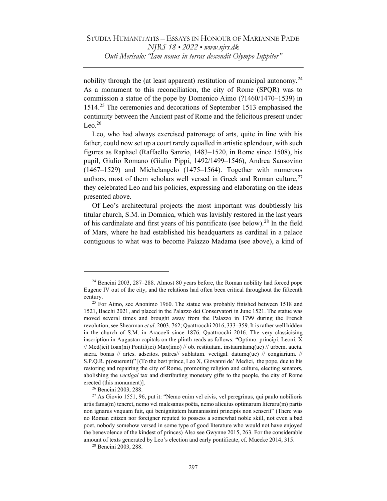nobility through the (at least apparent) restitution of municipal autonomy.<sup>24</sup> As a monument to this reconciliation, the city of Rome (SPQR) was to commission a statue of the pope by Domenico Aimo (?1460/1470–1539) in 1514.<sup>25</sup> The ceremonies and decorations of September 1513 emphasised the continuity between the Ancient past of Rome and the felicitous present under  $Leo.<sup>26</sup>$ 

Leo, who had always exercised patronage of arts, quite in line with his father, could now set up a court rarely equalled in artistic splendour, with such figures as Raphael (Raffaello Sanzio, 1483–1520, in Rome since 1508), his pupil, Giulio Romano (Giulio Pippi, 1492/1499–1546), Andrea Sansovino (1467–1529) and Michelangelo (1475–1564). Together with numerous authors, most of them scholars well versed in Greek and Roman culture.<sup>27</sup> they celebrated Leo and his policies, expressing and elaborating on the ideas presented above.

Of Leo's architectural projects the most important was doubtlessly his titular church, S.M. in Domnica, which was lavishly restored in the last years of his cardinalate and first years of his pontificate (see below).<sup>28</sup> In the field of Mars, where he had established his headquarters as cardinal in a palace contiguous to what was to become Palazzo Madama (see above), a kind of

<sup>24</sup> Bencini 2003, 287–288. Almost 80 years before, the Roman nobility had forced pope Eugene IV out of the city, and the relations had often been critical throughout the fifteenth century.

 $25$  For Aimo, see Anonimo 1960. The statue was probably finished between 1518 and 1521, Bacchi 2021, and placed in the Palazzo dei Conservatori in June 1521. The statue was moved several times and brought away from the Palazzo in 1799 during the French revolution, see Shearman et al. 2003, 762; Quattrocchi 2016, 333–359. It is rather well hidden in the church of S.M. in Aracoeli since 1876, Quattrocchi 2016. The very classicising inscription in Augustan capitals on the plinth reads as follows: "Optimo. principi. Leoni. X // Med(ici) Ioan(ni) Pontif(ici) Max(imo) // ob. restitutam. instauratamq(ue) // urbem. aucta. sacra. bonas // artes. adscitos. patres// sublatum. vectigal. datumq(ue) // congiarium. // S.P.Q.R. p(osuerunt)" [(To the best prince, Leo X, Giovanni de' Medici, the pope, due to his restoring and repairing the city of Rome, promoting religion and culture, electing senators, abolishing the vectigal tax and distributing monetary gifts to the people, the city of Rome erected (this monument)].

<sup>26</sup> Bencini 2003, 288.

<sup>27</sup> As Giovio 1551, 96, put it: "Nemo enim vel civis, vel peregrinus, qui paulo nobilioris artis fama(m) teneret, nemo vel malesanus poëta, nemo alicuius optimarum literaru(m) partis non ignarus vnquam fuit, qui benignitatem humanissimi principis non senserit" (There was no Roman citizen nor foreigner reputed to possess a somewhat noble skill, not even a bad poet, nobody somehow versed in some type of good literature who would not have enjoyed the benevolence of the kindest of princes) Also see Gwynne 2015, 263. For the considerable amount of texts generated by Leo's election and early pontificate, cf. Muecke 2014, 315.

<sup>28</sup> Bencini 2003, 288.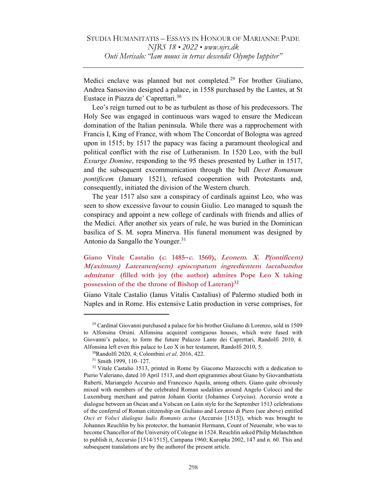Medici enclave was planned but not completed.<sup>29</sup> For brother Giuliano, Andrea Sansovino designed a palace, in 1558 purchased by the Lantes, at St Eustace in Piazza de' Caprettari.<sup>30</sup>

Leo's reign turned out to be as turbulent as those of his predecessors. The Holy See was engaged in continuous wars waged to ensure the Medicean domination of the Italian peninsula. While there was a rapprochement with Francis I, King of France, with whom The Concordat of Bologna was agreed upon in 1515; by 1517 the papacy was facing a paramount theological and political conflict with the rise of Lutheranism. In 1520 Leo, with the bull Exsurge Domine, responding to the 95 theses presented by Luther in 1517, and the subsequent excommunication through the bull Decet Romanum pontificem (January 1521), refused cooperation with Protestants and, consequently, initiated the division of the Western church.

The year 1517 also saw a conspiracy of cardinals against Leo, who was seen to show excessive favour to cousin Giulio. Leo managed to squash the conspiracy and appoint a new college of cardinals with friends and allies of the Medici. After another six years of rule, he was buried in the Dominican basilica of S. M. sopra Minerva. His funeral monument was designed by Antonio da Sangallo the Younger. $31$ 

# Giano Vitale Castalio (c. 1485–c. 1560), Leonem. X. P(ontificem) M(aximum) Lateranen(sem) episcopatum ingredientem laetabundus admiratur (filled with joy (the author) admires Pope Leo X taking possession of the the throne of Bishop of Lateran)<sup>32</sup>

Giano Vitale Castalio (Ianus Vitalis Castalius) of Palermo studied both in Naples and in Rome. His extensive Latin production in verse comprises, for

<sup>29</sup> Cardinal Giovanni purchased a palace for his brother Giuliano di Lorenzo, sold in 1509 to Alfonsina Orsini. Alfonsina acquired contiguous houses, which were fused with Giovanni's palace, to form the future Palazzo Lante dei Caprettari, Randolfi 2010, 4. Alfonsina left even this palace to Leo X in her testament, Randolfi 2010, 5.

<sup>30</sup>Randolfi 2020, 4; Colombini et al. 2016, 422.

<sup>31</sup> Smith 1999, 110–127.

<sup>32</sup> Vitale Castalio 1513, printed in Rome by Giacomo Mazzocchi with a dedication to Pierio Valeriano, dated 10 April 1513, and short epigrammes about Giano by Giovambattista Ruberti, Mariangelo Accursio and Francesco Aquila, among others. Giano quite obviously mixed with members of the celebrated Roman sodalities around Angelo Colocci and the Luxemburg merchant and patron Johann Goritz (Johannes Corycius). Accursio wrote a dialogue between an Oscan and a Volscan on Latin style for the September 1513 celebrations of the conferral of Roman citizenship on Giuliano and Lorenzo di Piero (see above) entitled Osci et Volsci dialogus ludis Romanis actus (Accursio [1513]), which was brought to Johannes Reuchlin by his protector, the humanist Hermann, Count of Neuenahr, who was to become Chancellor of the University of Cologne in 1524. Reuchlin asked Philip Melanchthon to publish it, Accursio [1514/1515], Campana 1960; Kuropka 2002, 147 and n. 60. This and subsequent translations are by the authorof the present article.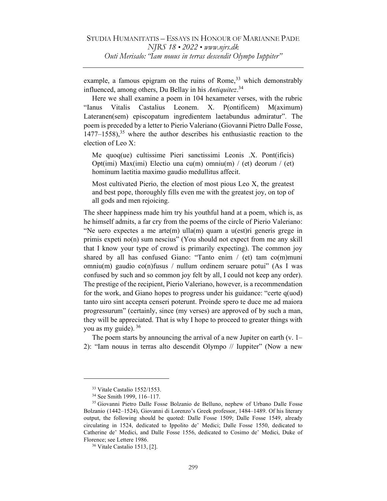example, a famous epigram on the ruins of Rome,  $33$  which demonstrably influenced, among others, Du Bellay in his Antiquitez.<sup>34</sup>

Here we shall examine a poem in 104 hexameter verses, with the rubric "Ianus Vitalis Castalius Leonem. X. P(ontificem) M(aximum) Lateranen(sem) episcopatum ingredientem laetabundus admiratur". The poem is preceded by a letter to Pierio Valeriano (Giovanni Pietro Dalle Fosse,  $1477-1558$ ,<sup>35</sup> where the author describes his enthusiastic reaction to the election of Leo X:

Me quoq(ue) cultissime Pieri sanctissimi Leonis .X. Pont(ificis) Opt(imi) Max(imi) Electio una cu(m) omniu(m) / (et) deorum / (et) hominum laetitia maximo gaudio medullitus affecit.

Most cultivated Pierio, the election of most pious Leo X, the greatest and best pope, thoroughly fills even me with the greatest joy, on top of all gods and men rejoicing.

The sheer happiness made him try his youthful hand at a poem, which is, as he himself admits, a far cry from the poems of the circle of Pierio Valeriano: "Ne uero expectes a me arte(m) ulla(m) quam a u(est)ri generis grege in primis expeti no(n) sum nescius" (You should not expect from me any skill that I know your type of crowd is primarily expecting). The common joy shared by all has confused Giano: "Tanto enim / (et) tam co(m)muni omniu(m) gaudio co(n)fusus / nullum ordinem seruare potui" (As I was confused by such and so common joy felt by all, I could not keep any order). The prestige of the recipient, Pierio Valeriano, however, is a recommendation for the work, and Giano hopes to progress under his guidance: "certe q(uod) tanto uiro sint accepta censeri poterunt. Proinde spero te duce me ad maiora progressurum" (certainly, since (my verses) are approved of by such a man, they will be appreciated. That is why I hope to proceed to greater things with you as my guide).  $36$ 

The poem starts by announcing the arrival of a new Jupiter on earth (v. 1– 2): "Iam nouus in terras alto descendit Olympo // Iuppiter" (Now a new

<sup>33</sup> Vitale Castalio 1552/1553.

<sup>34</sup> See Smith 1999, 116–117.

<sup>35</sup> Giovanni Pietro Dalle Fosse Bolzanio de Belluno, nephew of Urbano Dalle Fosse Bolzanio (1442–1524), Giovanni di Lorenzo's Greek professor, 1484–1489. Of his literary output, the following should be quoted: Dalle Fosse 1509; Dalle Fosse 1549, already circulating in 1524, dedicated to Ippolito de' Medici; Dalle Fosse 1550, dedicated to Catherine de' Medici, and Dalle Fosse 1556, dedicated to Cosimo de' Medici, Duke of Florence; see Lettere 1986.

<sup>36</sup> Vitale Castalio 1513, [2].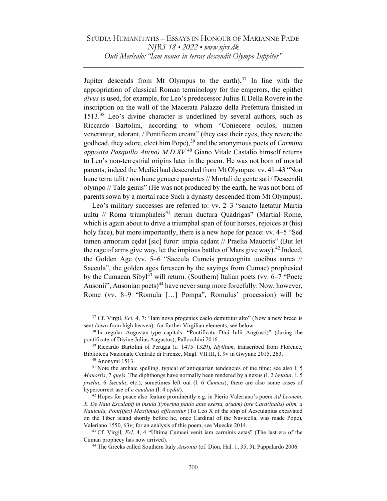Jupiter descends from Mt Olympus to the earth).<sup>37</sup> In line with the appropriation of classical Roman terminology for the emperors, the epithet divus is used, for example, for Leo's predecessor Julius II Della Rovere in the inscription on the wall of the Macerata Palazzo della Prefettura finished in 1513.<sup>38</sup> Leo's divine character is underlined by several authors, such as Riccardo Bartolini, according to whom "Coniecere oculos, numen venerantur, adorant, / Pontificem creant" (they cast their eyes, they revere the godhead, they adore, elect him Pope),  $39$  and the anonymous poets of *Carmina* apposita Pasquillo An(no) M.D.XV.<sup>40</sup> Giano Vitale Castalio himself returns to Leo's non-terrestrial origins later in the poem. He was not born of mortal parents; indeed the Medici had descended from Mt Olympus: vv. 41–43 "Non hunc terra tulit / non hunc genuere parentes // Mortali de gente sati / Descendit olympo // Tale genus" (He was not produced by the earth, he was not born of parents sown by a mortal race Such a dynasty descended from Mt Olympus).

Leo's military successes are referred to: vv. 2–3 "sancto laetatur Martia uultu // Roma triumphaleis<sup>41</sup> iterum ductura Quadrigas" (Martial Rome, which is again about to drive a triumphal span of four horses, rejoices at (his) holy face), but more importantly, there is a new hope for peace: vv. 4–5 "Sed tamen armorum cędat [sic] furor: impia cędant // Praelia Mauortis" (But let the rage of arms give way, let the impious battles of Mars give way).<sup>42</sup> Indeed, the Golden Age (vv. 5–6 "Saecula Cumeis praecognita uocibus aurea // Saecula", the golden ages foreseen by the sayings from Cumae) prophesied by the Cumaean Sibyl<sup>43</sup> will return. (Southern) Italian poets (vv.  $6-7$  "Poete Ausonii", Ausonian poets)<sup>44</sup> have never sung more forcefully. Now, however, Rome (vv. 8–9 "Romula […] Pompa", Romulus' procession) will be

 $37$  Cf. Virgil, *Ecl.* 4, 7: "Iam nova progenies caelo demittitur alto" (Now a new breed is sent down from high heaven); for further Virgilian elements, see below.

<sup>38</sup> In regular Augustan-type capitals: "Pontificatu Diui Iulii Aug(usti)" (during the pontificate of Divine Julius Augustus), Pallocchini 2016.

 $39$  Riccardo Bartolini of Perugia (c. 1475–1529), *Idyllium*, transcribed from Florence, Biblioteca Nazionale Centrale di Firenze, Magl. VII.III, f. 9v in Gwynne 2015, 263.

<sup>40</sup> Anonymi 1513.

<sup>&</sup>lt;sup>41</sup> Note the archaic spelling, typical of antiquarian tendencies of the time; see also l. 5 Mauortis, 7 queis. The diphthongs have normally been rendered by a nexus (l. 2 lætatur, l. 5 prælia, 6 Sæcula, etc.), sometimes left out (l. 6 Cumeis); there are also some cases of hypercorrect use of *e caudata* (1.4 *cedat*).

 $42$  Hopes for peace also feature prominently e.g. in Pierio Valeriano's poem Ad Leonem. X. De Naui Esculapij in insula Tyberina paulo ante exerta, q(uam) ipse Card(inalis) olim, a Nauicula, Pont(ifex) Max(imus) efficeretur (To Leo X of the ship of Aesculapius excavated on the Tiber island shortly before he, once Cardinal of the Navicella, was made Pope), Valeriano 1550, 63v; for an analysis of this poem, see Muecke 2014.

 $43$  Cf. Virgil, *Ecl.* 4, 4 "Ultima Cumaei venit iam carminis aetas" (The last era of the Cuman prophecy has now arrived).

<sup>&</sup>lt;sup>44</sup> The Greeks called Southern Italy *Ausonia* (cf. Dion. Hal. 1, 35, 3), Pappalardo 2006.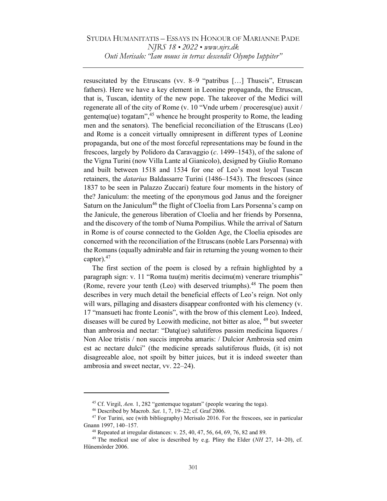resuscitated by the Etruscans (vv. 8–9 "patribus […] Thuscis", Etruscan fathers). Here we have a key element in Leonine propaganda, the Etruscan, that is, Tuscan, identity of the new pope. The takeover of the Medici will regenerate all of the city of Rome (v. 10 "Vnde urbem / proceresq(ue) auxit / gentemq(ue) togatam",  $45$  whence he brought prosperity to Rome, the leading men and the senators). The beneficial reconciliation of the Etruscans (Leo) and Rome is a conceit virtually omnipresent in different types of Leonine propaganda, but one of the most forceful representations may be found in the frescoes, largely by Polidoro da Caravaggio (c. 1499–1543), of the salone of the Vigna Turini (now Villa Lante al Gianicolo), designed by Giulio Romano and built between 1518 and 1534 for one of Leo's most loyal Tuscan retainers, the datarius Baldassarre Turini (1486–1543). The frescoes (since 1837 to be seen in Palazzo Zuccari) feature four moments in the history of the? Janiculum: the meeting of the eponymous god Janus and the foreigner Saturn on the Janiculum<sup>46</sup> the flight of Cloelia from Lars Porsenna's camp on the Janicule, the generous liberation of Cloelia and her friends by Porsenna, and the discovery of the tomb of Numa Pompilius. While the arrival of Saturn in Rome is of course connected to the Golden Age, the Cloelia episodes are concerned with the reconciliation of the Etruscans (noble Lars Porsenna) with the Romans (equally admirable and fair in returning the young women to their captor). $47$ 

The first section of the poem is closed by a refrain highlighted by a paragraph sign: v. 11 "Roma tuu(m) meritis decimu(m) venerare triumphis" (Rome, revere your tenth (Leo) with deserved triumphs).<sup>48</sup> The poem then describes in very much detail the beneficial effects of Leo's reign. Not only will wars, pillaging and disasters disappear confronted with his clemency (v. 17 "mansueti hac fronte Leonis", with the brow of this clement Leo). Indeed, diseases will be cured by Leowith medicine, not bitter as aloe, <sup>49</sup> but sweeter than ambrosia and nectar: "Datq(ue) salutiferos passim medicina liquores / Non Aloe tristis / non succis improba amaris: / Dulcior Ambrosia sed enim est ac nectare dulci" (the medicine spreads salutiferous fluids, (it is) not disagreeable aloe, not spoilt by bitter juices, but it is indeed sweeter than ambrosia and sweet nectar, vv. 22–24).

<sup>45</sup> Cf. Virgil, Aen. 1, 282 "gentemque togatam" (people wearing the toga).

<sup>46</sup> Described by Macrob. Sat. 1, 7, 19–22; cf. Graf 2006.

 $47$  For Turini, see (with bibliography) Merisalo 2016. For the frescoes, see in particular Gnann 1997, 140–157.

 $48$  Repeated at irregular distances: v. 25, 40, 47, 56, 64, 69, 76, 82 and 89.

 $49$  The medical use of aloe is described by e.g. Pliny the Elder (NH 27, 14–20), cf. Hünemörder 2006.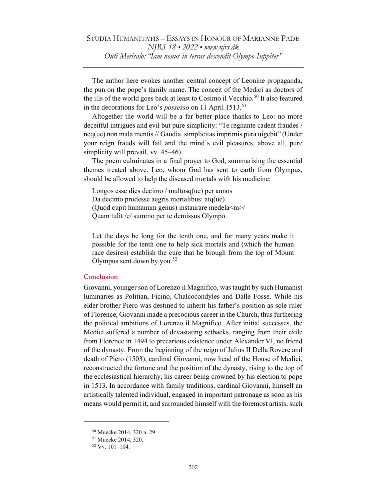The author here evokes another central concept of Leonine propaganda, the pun on the pope's family name. The conceit of the Medici as doctors of the ills of the world goes back at least to Cosimo il Vecchio.<sup>50</sup> It also featured in the decorations for Leo's *possesso* on 11 April 1513.<sup>51</sup>

Altogether the world will be a far better place thanks to Leo: no more deceitful intrigues and evil but pure simplicity: "Te regnante cadent fraudes / neq(ue) non mala mentis // Gaudia. simplicitas imprimis pura uigebit" (Under your reign frauds will fail and the mind's evil pleasures, above all, pure simplicity will prevail, vv. 45–46).

The poem culminates in a final prayer to God, summarising the essential themes treated above. Leo, whom God has sent to earth from Olympus, should be allowed to help the diseased mortals with his medicine:

Longos esse dies decimo / multosq(ue) per annos Da decimo prodesse aegris mortalibus: atq(ue) (Quod cupit humanum genus) instaurare medela<m>/ Quam tulit /e/ summo per te demissus Olympo.

Let the days be long for the tenth one, and for many years make it possible for the tenth one to help sick mortals and (which the human race desires) establish the cure that he brough from the top of Mount Olympus sent down by you.<sup>52</sup>

### Conclusion

Giovanni, younger son of Lorenzo il Magnifico, was taught by such Humanist luminaries as Politian, Ficino, Chalcocondyles and Dalle Fosse. While his elder brother Piero was destined to inherit his father's position as sole ruler of Florence, Giovanni made a precocious career in the Church, thus furthering the political ambitions of Lorenzo il Magnifico. After initial successes, the Medici suffered a number of devastating setbacks, ranging from their exile from Florence in 1494 to precarious existence under Alexander VI, no friend of the dynasty. From the beginning of the reign of Julius II Della Rovere and death of Piero (1503), cardinal Giovanni, now head of the House of Medici, reconstructed the fortune and the position of the dynasty, rising to the top of the ecclesiastical hierarchy, his career being crowned by his election to pope in 1513. In accordance with family traditions, cardinal Giovanni, himself an artistically talented individual, engaged in important patronage as soon as his means would permit it, and surrounded himself with the foremost artists, such

<sup>50</sup> Muecke 2014, 320 n. 29

<sup>51</sup> Muecke 2014, 320.

<sup>52</sup> Vv. 101–104.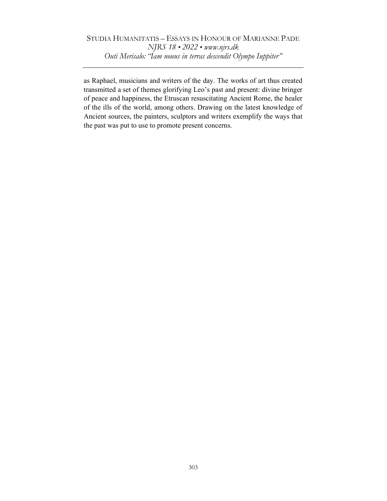as Raphael, musicians and writers of the day. The works of art thus created transmitted a set of themes glorifying Leo's past and present: divine bringer of peace and happiness, the Etruscan resuscitating Ancient Rome, the healer of the ills of the world, among others. Drawing on the latest knowledge of Ancient sources, the painters, sculptors and writers exemplify the ways that the past was put to use to promote present concerns.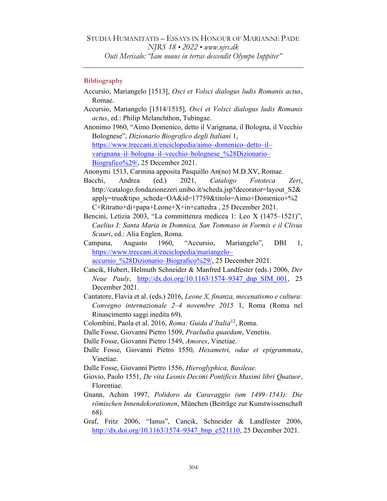## **Bibliography**

- Accursio, Mariangelo [1513], Osci et Volsci dialogus ludis Romanis actus, Romae.
- Accursio, Mariangelo [1514/1515], Osci et Volsci dialogus ludis Romanis actus, ed.: Philip Melanchthon, Tubingae.
- Anonimo 1960, "Aimo Domenico, detto il Varignana, il Bologna, il Vecchio Bolognese", Dizionario Biografico degli Italiani 1, https://www.treccani.it/enciclopedia/aimo–domenico–detto–il– varignana–il–bologna–il–vecchio–bolognese\_%28Dizionario– Biografico%29/, 25 December 2021.

Anonymi 1513, Carmina apposita Pasquillo An(no) M.D.XV, Romae.

- Bacchi, Andrea (ed.) 2021, Catalogo Fototeca Zeri, http://catalogo.fondazionezeri.unibo.it/scheda.jsp?decorator=layout\_S2& apply=true&tipo\_scheda=OA&id=17759&titolo=Aimo+Domenico+%2 C+Ritratto+di+papa+Leone+X+in+cattedra , 25 December 2021.
- Bencini, Letizia 2003, "La committenza medicea 1: Leo X (1475–1521)", Caelius I: Santa Maria in Domnica, San Tommaso in Formis e il Clivus Scauri, ed.: Alia Englen, Roma.
- Campana, Augusto 1960, "Accursio, Mariangelo", DBI 1, https://www.treccani.it/enciclopedia/mariangelo– accursio %28Dizionario–Biografico%29/, 25 December 2021.
- Cancik, Hubert, Helmuth Schneider & Manfred Landfester (eds.) 2006, Der Neue Pauly, http://dx.doi.org/10.1163/1574-9347 dnp SIM 001, 25 December 2021.
- Cantatore, Flavia et al. (eds.) 2016, Leone X, finanza, mecenatismo e cultura: Convegno internazionale 2–4 novembre 2015 1, Roma (Roma nel Rinascimento saggi inedita 69).
- Colombini, Paola et al. 2016, Roma: Guida d'Italia<sup>12</sup>, Roma.
- Dalle Fosse, Giovanni Pietro 1509, Praeludia quaedam, Venetiis.
- Dalle Fosse, Giovanni Pietro 1549, Amores, Vinetiae.
- Dalle Fosse, Giovanni Pietro 1550, Hexametri, odae et epigrammata, Vinetiae.
- Dalle Fosse, Giovanni Pietro 1556, Hieroglyphica, Basileae.
- Giovio, Paolo 1551, De vita Leonis Decimi Pontificis Maximi libri Quatuor, Florentiae.
- Gnann, Achim 1997, Polidoro da Caravaggio (um 1499–1543): Die römischen Innendekorationen, München (Beiträge zur Kunstwissenschaft 68).
- Graf, Fritz 2006, "Ianus", Cancik, Schneider & Landfester 2006, http://dx.doi.org/10.1163/1574–9347 bnp e521110, 25 December 2021.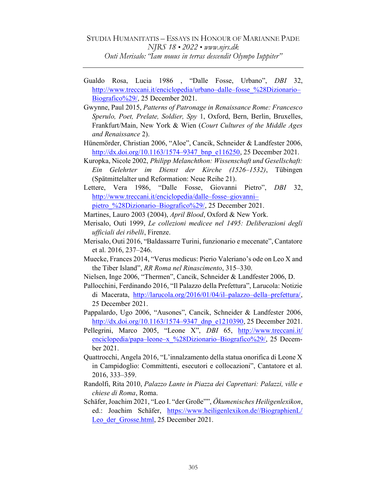- Gualdo Rosa, Lucia 1986 , "Dalle Fosse, Urbano", DBI 32, http://www.treccani.it/enciclopedia/urbano–dalle–fosse\_%28Dizionario– Biografico%29/, 25 December 2021.
- Gwynne, Paul 2015, Patterns of Patronage in Renaissance Rome: Francesco Sperulo, Poet, Prelate, Soldier, Spy 1, Oxford, Bern, Berlin, Bruxelles, Frankfurt/Main, New York & Wien (Court Cultures of the Middle Ages and Renaissance 2).
- Hünemörder, Christian 2006, "Aloe", Cancik, Schneider & Landfester 2006, http://dx.doi.org/10.1163/1574–9347 bnp\_e116250, 25 December 2021.
- Kuropka, Nicole 2002, Philipp Melanchthon: Wissenschaft und Gesellschaft: Ein Gelehrter im Dienst der Kirche (1526–1532), Tübingen (Spätmittelalter und Reformation: Neue Reihe 21).
- Lettere, Vera 1986, "Dalle Fosse, Giovanni Pietro", DBI 32, http://www.treccani.it/enciclopedia/dalle–fosse–giovanni– pietro\_%28Dizionario–Biografico%29/, 25 December 2021.
- Martines, Lauro 2003 (2004), April Blood, Oxford & New York.
- Merisalo, Outi 1999, Le collezioni medicee nel 1495: Deliberazioni degli ufficiali dei ribelli, Firenze.
- Merisalo, Outi 2016, "Baldassarre Turini, funzionario e mecenate", Cantatore et al. 2016, 237–246.
- Muecke, Frances 2014, "Verus medicus: Pierio Valeriano's ode on Leo X and the Tiber Island", RR Roma nel Rinascimento, 315–330.
- Nielsen, Inge 2006, "Thermen", Cancik, Schneider & Landfester 2006, D.
- Pallocchini, Ferdinando 2016, "Il Palazzo della Prefettura", Larucola: Notizie di Macerata, http://larucola.org/2016/01/04/il–palazzo–della–prefettura/, 25 December 2021.
- Pappalardo, Ugo 2006, "Ausones", Cancik, Schneider & Landfester 2006, http://dx.doi.org/10.1163/1574–9347\_dnp\_e1210390, 25 December 2021.
- Pellegrini, Marco 2005, "Leone X", DBI 65, http://www.treccani.it/ enciclopedia/papa–leone–x %28Dizionario–Biografico%29/, 25 December 2021.
- Quattrocchi, Angela 2016, "L'innalzamento della statua onorifica di Leone X in Campidoglio: Committenti, esecutori e collocazioni", Cantatore et al. 2016, 333–359.
- Randolfi, Rita 2010, Palazzo Lante in Piazza dei Caprettari: Palazzi, ville e chiese di Roma, Roma.
- Schäfer, Joachim 2021, "Leo I. "der Große"", Ökumenisches Heiligenlexikon, ed.: Joachim Schäfer, https://www.heiligenlexikon.de//BiographienL/ Leo der Grosse.html, 25 December 2021.